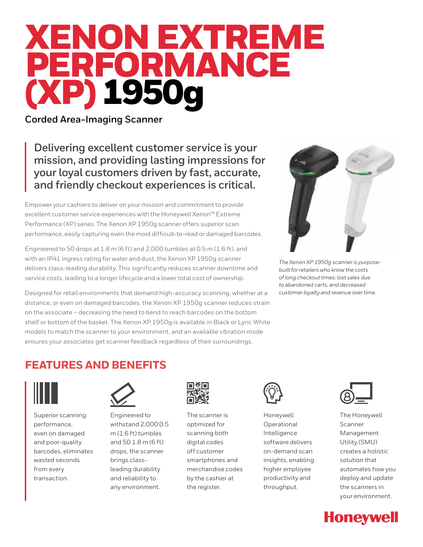# XENON EXTREME PERFORMANCE (XP) 1950g

**Corded Area-Imaging Scanner**

## **Delivering excellent customer service is your mission, and providing lasting impressions for your loyal customers driven by fast, accurate, and friendly checkout experiences is critical.**

Empower your cashiers to deliver on your mission and commitment to provide excellent customer service experiences with the Honeywell Xenon™ Extreme Performance (XP) series. The Xenon XP 1950g scanner offers superior scan performance, easily capturing even the most difficult-to-read or damaged barcodes.

Engineered to 50 drops at 1.8 m (6 ft) and 2,000 tumbles at 0.5 m (1.6 ft), and with an IP41 ingress rating for water and dust, the Xenon XP 1950g scanner delivers class-leading durability. This significantly reduces scanner downtime and service costs, leading to a longer lifecycle and a lower total cost of ownership.

Designed for retail environments that demand high-accuracy scanning, whether at a distance, or even on damaged barcodes, the Xenon XP 1950g scanner reduces strain on the associate – decreasing the need to bend to reach barcodes on the bottom shelf or bottom of the basket. The Xenon XP 1950g is available in Black or Lyric White models to match the scanner to your environment, and an available vibration mode ensures your associates get scanner feedback regardless of their surroundings.



*The Xenon XP 1950g scanner is purposebuilt for retailers who know the costs of long checkout times: lost sales due to abandoned carts, and decreased customer loyalty and revenue over time.*

## **FEATURES AND BENEFITS**



Superior scanning performance, even on damaged and poor-quality barcodes, eliminates wasted seconds from every transaction.



Engineered to withstand 2,000 0.5 m (1.6 ft) tumbles and 50 1.8 m (6 ft) drops, the scanner brings classleading durability and reliability to any environment.



The scanner is optimized for scanning both digital codes off customer smartphones and merchandise codes by the cashier at the register.



Honeywell Operational Intelligence software delivers on-demand scan insights, enabling higher employee productivity and throughput.



The Honeywell Scanner Management Utility (SMU) creates a holistic solution that automates how you deploy and update the scanners in your environment.